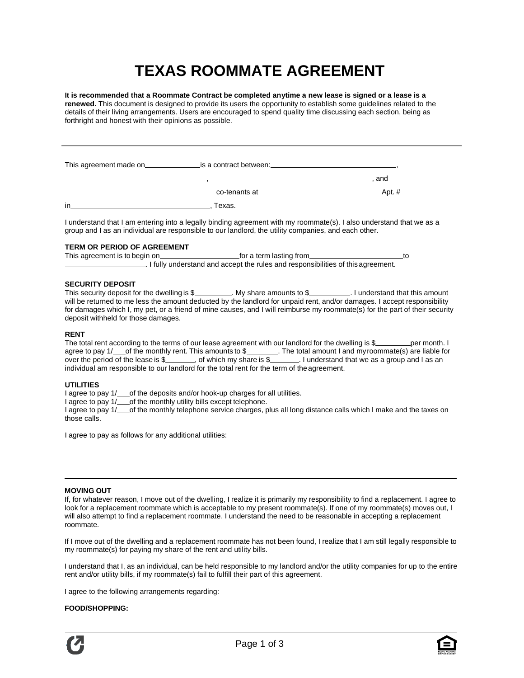# **TEXAS ROOMMATE AGREEMENT**

**It is recommended that a Roommate Contract be completed anytime a new lease is signed or a lease is a renewed.** This document is designed to provide its users the opportunity to establish some guidelines related to the details of their living arrangements. Users are encouraged to spend quality time discussing each section, being as forthright and honest with their opinions as possible.

|    |                                                                                                                                                                                                                               | and       |
|----|-------------------------------------------------------------------------------------------------------------------------------------------------------------------------------------------------------------------------------|-----------|
|    | co-tenants at the contract of the contract of the contract of the contract of the contract of the contract of the contract of the contract of the contract of the contract of the contract of the contract of the contract of | Apt. $\#$ |
| in | Texas.                                                                                                                                                                                                                        |           |

I understand that I am entering into a legally binding agreement with my roommate(s). I also understand that we as a group and I as an individual are responsible to our landlord, the utility companies, and each other.

# **TERM OR PERIOD OF AGREEMENT**

This agreement is to begin on subsection of a term lasting from the same state of to begin on  $\sim$  to . I fully understand and accept the rules and responsibilities of this agreement.

## **SECURITY DEPOSIT**

This security deposit for the dwelling is \$\_\_\_\_\_\_\_\_\_. My share amounts to \$\_\_\_\_\_\_\_\_\_\_\_\_\_\_\_\_\_\_. I understand that this amount will be returned to me less the amount deducted by the landlord for unpaid rent, and/or damages. I accept responsibility for damages which I, my pet, or a friend of mine causes, and I will reimburse my roommate(s) for the part of their security deposit withheld for those damages.

## **RENT**

The total rent according to the terms of our lease agreement with our landlord for the dwelling is \$ per month. I agree to pay 1/\_\_\_of the monthly rent. This amounts to \$\_\_\_\_\_\_\_\_. The total amount I and my roommate(s) are liable for over the period of the lease is \$ . of which my share is \$ . I understand that we as a group and I as an individual am responsible to our landlord for the total rent for the term of the agreement.

## **UTILITIES**

I agree to pay 1/ of the deposits and/or hook-up charges for all utilities.

I agree to pay 1/\_\_\_\_of the monthly utility bills except telephone.

I agree to pay 1/ of the monthly telephone service charges, plus all long distance calls which I make and the taxes on those calls.

I agree to pay as follows for any additional utilities:

## **MOVING OUT**

If, for whatever reason, I move out of the dwelling, I realize it is primarily my responsibility to find a replacement. I agree to look for a replacement roommate which is acceptable to my present roommate(s). If one of my roommate(s) moves out, I will also attempt to find a replacement roommate. I understand the need to be reasonable in accepting a replacement roommate.

If I move out of the dwelling and a replacement roommate has not been found, I realize that I am still legally responsible to my roommate(s) for paying my share of the rent and utility bills.

I understand that I, as an individual, can be held responsible to my landlord and/or the utility companies for up to the entire rent and/or utility bills, if my roommate(s) fail to fulfill their part of this agreement.

I agree to the following arrangements regarding:

# **FOOD/SHOPPING:**

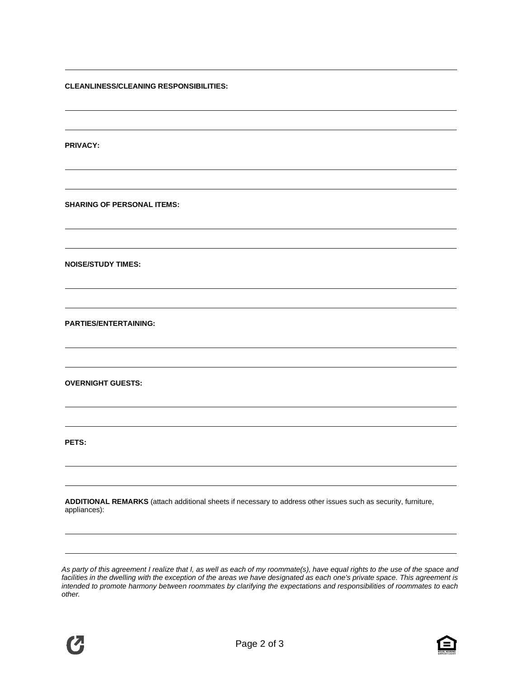**CLEANLINESS/CLEANING RESPONSIBILITIES:**

**PRIVACY:**

**SHARING OF PERSONAL ITEMS:**

**NOISE/STUDY TIMES:**

**PARTIES/ENTERTAINING:**

**OVERNIGHT GUESTS:**

**PETS:**

**ADDITIONAL REMARKS** (attach additional sheets if necessary to address other issues such as security, furniture, appliances):

*As party of this agreement I realize that I, as well as each of my roommate(s), have equal rights to the use of the space and*  facilities in the dwelling with the exception of the areas we have designated as each one's private space. This agreement is *intended to promote harmony between roommates by clarifying the expectations and responsibilities of roommates to each other.*